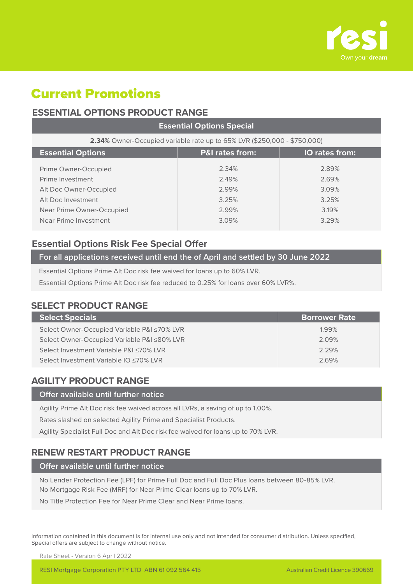

# Current Promotions

# **ESSENTIAL OPTIONS PRODUCT RANGE**

| <b>Essential Options Special</b>                                         |                |                |  |  |  |  |
|--------------------------------------------------------------------------|----------------|----------------|--|--|--|--|
| 2.34% Owner-Occupied variable rate up to 65% LVR (\$250,000 - \$750,000) |                |                |  |  |  |  |
| <b>Essential Options</b><br><b>P&amp;I rates from:</b><br>IO rates from: |                |                |  |  |  |  |
| Prime Owner-Occupied<br>Prime Investment                                 | 2.34%<br>2.49% | 2.89%<br>2.69% |  |  |  |  |
| Alt Doc Owner-Occupied                                                   | 2.99%          | 3.09%          |  |  |  |  |
| Alt Doc Investment<br>Near Prime Owner-Occupied                          | 3.25%<br>2.99% | 3.25%<br>3.19% |  |  |  |  |
| Near Prime Investment                                                    | 3.09%          | 3.29%          |  |  |  |  |

## **Essential Options Risk Fee Special Offer**

## **For all applications received until end the of April and settled by 30 June 2022**

Essential Options Prime Alt Doc risk fee waived for loans up to 60% LVR.

Essential Options Prime Alt Doc risk fee reduced to 0.25% for loans over 60% LVR%.

# **SELECT PRODUCT RANGE**

| <b>Select Specials</b>                      | <b>Borrower Rate</b> |
|---------------------------------------------|----------------------|
| Select Owner-Occupied Variable P&I ≤70% LVR | 1.99%                |
| Select Owner-Occupied Variable P&I ≤80% LVR | 2.09%                |
| Select Investment Variable P&I ≤70% LVR     | 2.29%                |
| Select Investment Variable IO ≤70% LVR      | 2.69%                |
|                                             |                      |

# **AGILITY PRODUCT RANGE**

### **Offer available until further notice**

Agility Prime Alt Doc risk fee waived across all LVRs, a saving of up to 1.00%.

Rates slashed on selected Agility Prime and Specialist Products.

Agility Specialist Full Doc and Alt Doc risk fee waived for loans up to 70% LVR.

# **RENEW RESTART PRODUCT RANGE**

#### **Offer available until further notice**

No Lender Protection Fee (LPF) for Prime Full Doc and Full Doc Plus loans between 80-85% LVR. No Mortgage Risk Fee (MRF) for Near Prime Clear loans up to 70% LVR.

No Title Protection Fee for Near Prime Clear and Near Prime loans.

Information contained in this document is for internal use only and not intended for consumer distribution. Unless specified, Special offers are subject to change without notice.

Rate Sheet - Version 6 April 2022

RESI Mortgage Corporation PTY LTD ABN 61 092 564 415 Australian Credit Licence 390669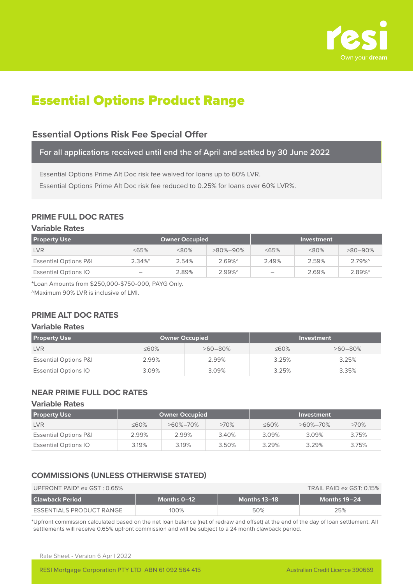

# Essential Options Product Range

# **Essential Options Risk Fee Special Offer**

**For all applications received until end the of April and settled by 30 June 2022**

Essential Options Prime Alt Doc risk fee waived for loans up to 60% LVR.

Essential Options Prime Alt Doc risk fee reduced to 0.25% for loans over 60% LVR%.

## **PRIME FULL DOC RATES**

### **Variable Rates**

| <b>Property Use</b>              | <b>Owner Occupied</b>    |             |                |             | Investment  |            |
|----------------------------------|--------------------------|-------------|----------------|-------------|-------------|------------|
| <b>LVR</b>                       | $\leq$ 65%               | $\leq 80\%$ | $>80\% - 90\%$ | $\leq 65\%$ | $\leq 80\%$ | $>80-90\%$ |
| <b>Essential Options P&amp;I</b> | $2.34\%$ *               | 2.54%       | $2.69\%$       | 2.49%       | 2.59%       | $2.79\%$   |
| <b>Essential Options IO</b>      | $\overline{\phantom{a}}$ | 2.89%       | $2.99\%$       | -           | 2.69%       | $2.89\%$   |

\*Loan Amounts from \$250,000-\$750-000, PAYG Only.

^Maximum 90% LVR is inclusive of LMI.

## **PRIME ALT DOC RATES**

#### **Variable Rates**

| <b>Property Use</b>              | <b>Owner Occupied</b> |              |             | Investment   |
|----------------------------------|-----------------------|--------------|-------------|--------------|
| <b>LVR</b>                       | $\leq 60\%$           | $>60 - 80\%$ | $\leq 60\%$ | $>60 - 80\%$ |
| <b>Essential Options P&amp;I</b> | 2.99%                 | 2.99%        | 3.25%       | 3.25%        |
| <b>Essential Options IO</b>      | 3.09%                 | 3.09%        | 3.25%       | 3.35%        |

## **NEAR PRIME FULL DOC RATES**

#### **Variable Rates**

| <b>Property Use</b>              | Owner Occupied |                |         |             | Investment     |       |
|----------------------------------|----------------|----------------|---------|-------------|----------------|-------|
| <b>LVR</b>                       | $\leq 60\%$    | $>60\% - 70\%$ | $>70\%$ | $\leq 60\%$ | $>60\% - 70\%$ | >70%  |
| <b>Essential Options P&amp;I</b> | 2.99%          | 2.99%          | 3.40%   | 3.09%       | 3.09%          | 3.75% |
| <b>Essential Options IO</b>      | 3.19%          | 3.19%          | 3.50%   | 3.29%       | 3.29%          | 3.75% |

## **COMMISSIONS (UNLESS OTHERWISE STATED)**

| UPFRONT PAID <sup>*</sup> ex $GST: 0.65\%$ | TRAIL PAID ex GST: 0.15% |              |              |
|--------------------------------------------|--------------------------|--------------|--------------|
| l Clawback Period                          | Months 0-12              | Months 13–18 | Months 19-24 |
| ESSENTIALS PRODUCT RANGE                   | 100%                     | 50%          | 25%          |

\*Upfront commission calculated based on the net loan balance (net of redraw and offset) at the end of the day of loan settlement. All settlements will receive 0.65% upfront commission and will be subject to a 24 month clawback period.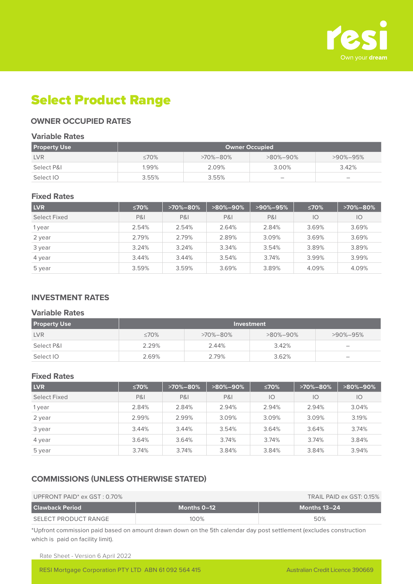

# Select Product Range

## **OWNER OCCUPIED RATES**

#### **Variable Rates**

| <b>Property Use</b> | Owner Occupied |                |                          |                          |  |  |
|---------------------|----------------|----------------|--------------------------|--------------------------|--|--|
| <b>LVR</b>          | ≤70%           | $>70\% - 80\%$ | $>80\% - 90\%$           | $>90\% - 95\%$           |  |  |
| Select P&I          | 1.99%          | 2.09%          | 3.00%                    | 3.42%                    |  |  |
| Select IO           | 3.55%          | 3.55%          | $\overline{\phantom{a}}$ | $\overline{\phantom{a}}$ |  |  |

#### **Fixed Rates**

| <b>LVR</b>   | ≤70%  | $>70\% - 80\%$ | $>80\% - 90\%$ | $>90\% - 95\%$ | ≤70%  | $>70\% - 80\%$ |
|--------------|-------|----------------|----------------|----------------|-------|----------------|
| Select Fixed | P&I   | <b>P&amp;I</b> | <b>P&amp;I</b> | P&I            | IO    | IO             |
| 1 year       | 2.54% | 2.54%          | 2.64%          | 2.84%          | 3.69% | 3.69%          |
| 2 year       | 2.79% | 2.79%          | 2.89%          | 3.09%          | 3.69% | 3.69%          |
| 3 year       | 3.24% | 3.24%          | 3.34%          | 3.54%          | 3.89% | 3.89%          |
| 4 year       | 3.44% | 3.44%          | 3.54%          | 3.74%          | 3.99% | 3.99%          |
| 5 year       | 3.59% | 3.59%          | 3.69%          | 3.89%          | 4.09% | 4.09%          |

## **INVESTMENT RATES**

#### **Variable Rates**

| <b>Property Use</b> | Investment  |                |                |                                 |  |  |
|---------------------|-------------|----------------|----------------|---------------------------------|--|--|
| <b>LVR</b>          | $\leq 70\%$ | $>70\% - 80\%$ | $>80\% - 90\%$ | $>90\% - 95\%$                  |  |  |
| Select P&I          | 2.29%       | 2.44%          | 3.42%          | $\hspace{0.1mm}-\hspace{0.1mm}$ |  |  |
| Select IO           | 2.69%       | 2.79%          | 3.62%          | $\hspace{0.05cm}$               |  |  |

#### **Fixed Rates**

| <b>LVR</b>   | ≤70%  | $>70\% - 80\%$ | $>80\% - 90\%$ | ≤70%  | $>70\% - 80\%$ | $>80\% - 90\%$ |
|--------------|-------|----------------|----------------|-------|----------------|----------------|
| Select Fixed | P&    | <b>P&amp;I</b> | <b>P&amp;I</b> | IO    | 10             | IO             |
| 1 year       | 2.84% | 2.84%          | 2.94%          | 2.94% | 2.94%          | 3.04%          |
| 2 year       | 2.99% | 2.99%          | 3.09%          | 3.09% | 3.09%          | 3.19%          |
| 3 year       | 3.44% | 3.44%          | 3.54%          | 3.64% | 3.64%          | 3.74%          |
| 4 year       | 3.64% | 3.64%          | 3.74%          | 3.74% | 3.74%          | 3.84%          |
| 5 year       | 3.74% | 3.74%          | 3.84%          | 3.84% | 3.84%          | 3.94%          |

## **COMMISSIONS (UNLESS OTHERWISE STATED)**

#### UPFRONT PAID<sup>\*</sup> ex GST : 0.70% TRAIL PAID ex GST: 0.15% TRAIL PAID ex GST: 0.15%

|                                            | TIVATE I ATE CA UU II. UITU /U |                                            |
|--------------------------------------------|--------------------------------|--------------------------------------------|
| <b>Clawback Period</b><br>Months 0–12 $\,$ |                                | $\blacksquare$ Months 13–24 $\blacksquare$ |
| SELECT PRODUCT RANGE                       | 100%                           | 50%                                        |

\*Upfront commission paid based on amount drawn down on the 5th calendar day post settlement (excludes construction which is paid on facility limit).

Rate Sheet - Version 6 April 2022

RESI Mortgage Corporation PTY LTD ABN 61 092 564 415 Australian Credit Licence 390669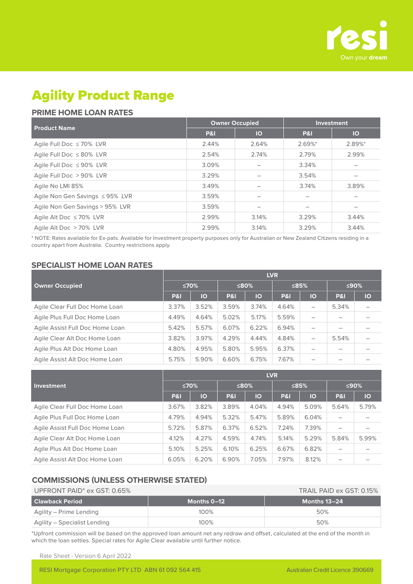

# Agility Product Range

## **PRIME HOME LOAN RATES**

|                                 | <b>Owner Occupied</b> |           | <b>Investment</b> |           |
|---------------------------------|-----------------------|-----------|-------------------|-----------|
| <b>Product Name</b>             | <b>P&amp;I</b>        | <b>IO</b> | <b>P&amp;I</b>    | <b>IO</b> |
| Agile Full Doc $\leq 70\%$ LVR  | 2.44%                 | 2.64%     | $2.69%$ *         | 2.89%*    |
| Agile Full Doc $\leq 80\%$ LVR  | 2.54%                 | 2.74%     | 2.79%             | 2.99%     |
| Agile Full Doc $\leq$ 90% LVR   | 3.09%                 |           | 3.34%             |           |
| Agile Full Doc > 90% LVR        | 3.29%                 |           | 3.54%             |           |
| Agile No LMI 85%                | 3.49%                 |           | 3.74%             | 3.89%     |
| Agile Non Gen Savings ≤95% LVR  | 3.59%                 |           |                   |           |
| Agile Non Gen Savings > 95% LVR | 3.59%                 |           |                   |           |
| Agile Alt Doc $\leq 70\%$ LVR   | 2.99%                 | 3.14%     | 3.29%             | 3.44%     |
| Agile Alt Doc > 70% LVR         | 2.99%                 | 3.14%     | 3.29%             | 3.44%     |

\* NOTE: Rates available for Ex-pats. Available for Investment property purposes only for Australian or New Zealand Citizens residing in a country apart from Australia. Country restrictions apply.

## **SPECIALIST HOME LOAN RATES**

|                                 |                |           |                |       | <b>LVR</b>     |         |                |    |
|---------------------------------|----------------|-----------|----------------|-------|----------------|---------|----------------|----|
| <b>Owner Occupied</b>           |                | ≤70%      |                | ≤80%  |                | $≤85\%$ | ≤90%           |    |
|                                 | <b>P&amp;I</b> | <b>IO</b> | <b>P&amp;I</b> | IO    | <b>P&amp;I</b> | IO      | <b>P&amp;I</b> | IO |
| Agile Clear Full Doc Home Loan  | 3.37%          | 3.52%     | 3.59%          | 3.74% | 4.64%          | -       | 5.34%          |    |
| Agile Plus Full Doc Home Loan   | 4.49%          | 4.64%     | 5.02%          | 5.17% | 5.59%          |         |                |    |
| Agile Assist Full Doc Home Loan | 5.42%          | 5.57%     | 6.07%          | 6.22% | 6.94%          |         |                |    |
| Agile Clear Alt Doc Home Loan   | 3.82%          | 3.97%     | 4.29%          | 4.44% | 4.84%          | —       | 5.54%          |    |
| Agile Plus Alt Doc Home Loan    | 4.80%          | 4.95%     | 5.80%          | 5.95% | 6.37%          |         |                |    |
| Agile Assist Alt Doc Home Loan  | 5.75%          | 5.90%     | 6.60%          | 6.75% | 7.67%          | -       |                |    |

|                                 |                |       |                |             | <b>LVR</b>     |         |                          |       |
|---------------------------------|----------------|-------|----------------|-------------|----------------|---------|--------------------------|-------|
| Investment                      |                | ≤70%  |                | $\leq 80\%$ |                | $≤85\%$ |                          | ≤90%  |
|                                 | <b>P&amp;I</b> | IO    | <b>P&amp;I</b> | IO          | <b>P&amp;I</b> | IO      | P&I                      | IO    |
| Agile Clear Full Doc Home Loan  | 3.67%          | 3.82% | 3.89%          | 4.04%       | 4.94%          | 5.09%   | 5.64%                    | 5.79% |
| Agile Plus Full Doc Home Loan   | 4.79%          | 4.94% | 5.32%          | 5.47%       | 5.89%          | 6.04%   | $\overline{\phantom{0}}$ |       |
| Agile Assist Full Doc Home Loan | 5.72%          | 5.87% | 6.37%          | 6.52%       | 7.24%          | 7.39%   |                          |       |
| Agile Clear Alt Doc Home Loan   | 4.12%          | 4.27% | 4.59%          | 4.74%       | 5.14%          | 5.29%   | 5.84%                    | 5.99% |
| Agile Plus Alt Doc Home Loan    | 5.10%          | 5.25% | 6.10%          | 6.25%       | 6.67%          | 6.82%   |                          |       |
| Agile Assist Alt Doc Home Loan  | 6.05%          | 6.20% | 6.90%          | 7.05%       | 7.97%          | 8.12%   |                          |       |

### **COMMISSIONS (UNLESS OTHERWISE STATED)**

| UPFRONT PAID $^*$ ex GST: 0.65% | TRAIL PAID ex GST: 0.15% |              |
|---------------------------------|--------------------------|--------------|
| <b>Clawback Period</b>          | Months 0–12              | Months 13-24 |
| Agility – Prime Lending         | 100%                     | 50%          |
| Agility – Specialist Lending    | 100%                     | 50%          |

\*Upfront commission will be based on the approved loan amount net any redraw and offset, calculated at the end of the month in which the loan settles. Special rates for Agile Clear available until further notice.

Rate Sheet - Version 6 April 2022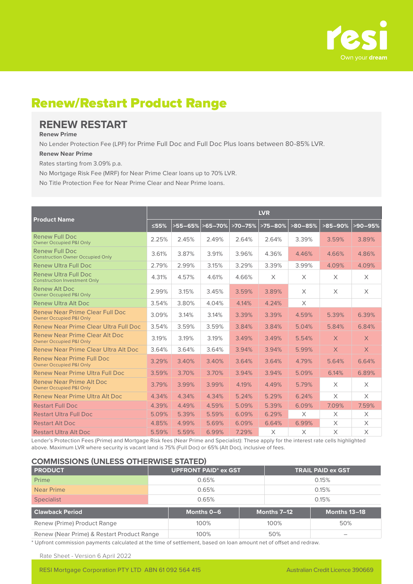

# Renew/Restart Product Range

# **RENEW RESTART**

#### **Renew Prime**

No Lender Protection Fee (LPF) for Prime Full Doc and Full Doc Plus loans between 80-85% LVR.

#### **Renew Near Prime**

Rates starting from 3.09% p.a.

No Mortgage Risk Fee (MRF) for Near Prime Clear loans up to 70% LVR.

No Title Protection Fee for Near Prime Clear and Near Prime loans.

|                                                                        |       |                  |       |           | <b>LVR</b> |           |            |           |
|------------------------------------------------------------------------|-------|------------------|-------|-----------|------------|-----------|------------|-----------|
| <b>Product Name</b>                                                    | ≤55%  | >55-65% > 65-70% |       | $>70-75%$ | $>75-80%$  | $>80-85%$ | $>85-90\%$ | $>90-95%$ |
| Renew Full Doc<br><b>Owner Occupied P&amp;I Only</b>                   | 2.25% | 2.45%            | 2.49% | 2.64%     | 2.64%      | 3.39%     | 3.59%      | 3.89%     |
| <b>Renew Full Doc</b><br><b>Construction Owner Occupied Only</b>       | 3.61% | 3.87%            | 3.91% | 3.96%     | 4.36%      | 4.46%     | 4.66%      | 4.86%     |
| <b>Renew Ultra Full Doc</b>                                            | 2.79% | 2.99%            | 3.15% | 3.29%     | 3.39%      | 3.99%     | 4.09%      | 4.09%     |
| <b>Renew Ultra Full Doc</b><br><b>Construction Investment Only</b>     | 4.31% | 4.57%            | 4.61% | 4.66%     | X          | X         | $\times$   | $\times$  |
| Renew Alt Doc<br><b>Owner Occupied P&amp;I Only</b>                    | 2.99% | 3.15%            | 3.45% | 3.59%     | 3.89%      | $\times$  | $\times$   | $\times$  |
| Renew Ultra Alt Doc                                                    | 3.54% | 3.80%            | 4.04% | 4.14%     | 4.24%      | $\times$  |            |           |
| Renew Near Prime Clear Full Doc<br><b>Owner Occupied P&amp;I Only</b>  | 3.09% | 3.14%            | 3.14% | 3.39%     | 3.39%      | 4.59%     | 5.39%      | 6.39%     |
| Renew Near Prime Clear Ultra Full Doc                                  | 3.54% | 3.59%            | 3.59% | 3.84%     | 3.84%      | 5.04%     | 5.84%      | 6.84%     |
| Renew Near Prime Clear Alt Doc<br><b>Owner Occupied P&amp;I Only</b>   | 3.19% | 3.19%            | 3.19% | 3.49%     | 3.49%      | 5.54%     | $\times$   | $\times$  |
| Renew Near Prime Clear Ultra Alt Doc                                   | 3.64% | 3.64%            | 3.64% | 3.94%     | 3.94%      | 5.99%     | $\times$   | $\times$  |
| Renew Near Prime Full Doc<br><b>Owner Occupied P&amp;I Only</b>        | 3.29% | 3.40%            | 3.40% | 3.64%     | 3.64%      | 4.79%     | 5.64%      | 6.64%     |
| Renew Near Prime Ultra Full Doc                                        | 3.59% | 3.70%            | 3.70% | 3.94%     | 3.94%      | 5.09%     | 6.14%      | 6.89%     |
| <b>Renew Near Prime Alt Doc.</b><br><b>Owner Occupied P&amp;I Only</b> | 3.79% | 3.99%            | 3.99% | 4.19%     | 4.49%      | 5.79%     | $\times$   | X         |
| Renew Near Prime Ultra Alt Doc                                         | 4.34% | 4.34%            | 4.34% | 5.24%     | 5.29%      | 6.24%     | $\times$   | X         |
| <b>Restart Full Doc</b>                                                | 4.39% | 4.49%            | 4.59% | 5.09%     | 5.39%      | 6.09%     | 7.09%      | 7.59%     |
| <b>Restart Ultra Full Doc</b>                                          | 5.09% | 5.39%            | 5.59% | 6.09%     | 6.29%      | X         | X          | X         |
| <b>Restart Alt Doc</b>                                                 | 4.85% | 4.99%            | 5.69% | 6.09%     | 6.64%      | 6.99%     | $\times$   | X         |
| <b>Restart Ultra Alt Doc</b>                                           | 5.59% | 5.59%            | 6.99% | 7.29%     | X          | X         | $\times$   | $\times$  |

Lender's Protection Fees (Prime) and Mortgage Risk fees (Near Prime and Specialist): These apply for the interest rate cells highlighted above. Maximum LVR where security is vacant land is 75% (Full Doc) or 65% (Alt Doc), inclusive of fees.

#### **COMMISSIONS (UNLESS OTHERWISE STATED)**

| <b>PRODUCT</b>                             | <b>UPFRONT PAID* ex GST</b> |            |       | <b>TRAIL PAID ex GST</b> |              |  |
|--------------------------------------------|-----------------------------|------------|-------|--------------------------|--------------|--|
| Prime                                      | 0.65%                       |            |       | 0.15%                    |              |  |
| Near Prime                                 | 0.65%                       |            | 0.15% |                          |              |  |
| <b>Specialist</b>                          | 0.65%                       |            |       | 0.15%                    |              |  |
| <b>Clawback Period</b>                     |                             | Months 0-6 |       | Months 7-12              | Months 13-18 |  |
| Renew (Prime) Product Range                | 100%                        |            |       | 100%                     | 50%          |  |
| Renew (Near Prime) & Restart Product Range |                             | 100%       | 50%   |                          |              |  |

\* Upfront commission payments calculated at the time of settlement, based on loan amount net of offset and redraw.

Rate Sheet - Version 6 April 2022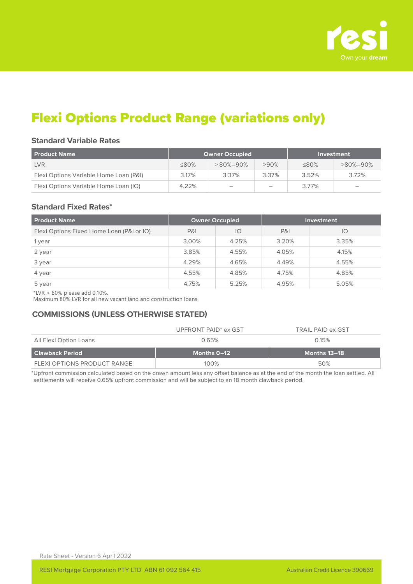

# Flexi Options Product Range (variations only)

### **Standard Variable Rates**

| <b>Product Name</b>                    |             | <b>Owner Occupied</b>    | Investment |             |                          |
|----------------------------------------|-------------|--------------------------|------------|-------------|--------------------------|
| <b>LVR</b>                             | $\leq 80\%$ | $>80\% - 90\%$           | $>90\%$    | $\leq 80\%$ | $>80\% - 90\%$           |
| Flexi Options Variable Home Loan (P&I) | 3.17%       | 3.37%                    | 3.37%      | 3.52%       | 3.72%                    |
| Flexi Options Variable Home Loan (IO)  | 4.22%       | $\overline{\phantom{a}}$ | -          | 3.77%       | $\overline{\phantom{a}}$ |

#### **Standard Fixed Rates\***

| <b>Product Name</b>                       | <b>Owner Occupied</b> |       |                | <b>Investment</b> |
|-------------------------------------------|-----------------------|-------|----------------|-------------------|
| Flexi Options Fixed Home Loan (P&I or IO) | <b>P&amp;I</b>        | IO    | <b>P&amp;I</b> | IO                |
| 1 year                                    | 3.00%                 | 4.25% | 3.20%          | 3.35%             |
| 2 year                                    | 3.85%                 | 4.55% | 4.05%          | 4.15%             |
| 3 year                                    | 4.29%                 | 4.65% | 4.49%          | 4.55%             |
| 4 year                                    | 4.55%                 | 4.85% | 4.75%          | 4.85%             |
| 5 year                                    | 4.75%                 | 5.25% | 4.95%          | 5.05%             |

 $*LVR > 80\%$  please add 0.10%.

Maximum 80% LVR for all new vacant land and construction loans.

## **COMMISSIONS (UNLESS OTHERWISE STATED)**

|                        | UPFRONT PAID <sup>*</sup> ex GST | TRAIL PAID ex GST |
|------------------------|----------------------------------|-------------------|
| All Flexi Option Loans | 0.65%                            | 0.15%             |
|                        |                                  |                   |
| <b>Clawback Period</b> | Months 0–12                      | Months 13–18      |

\*Upfront commission calculated based on the drawn amount less any offset balance as at the end of the month the loan settled. All settlements will receive 0.65% upfront commission and will be subject to an 18 month clawback period.